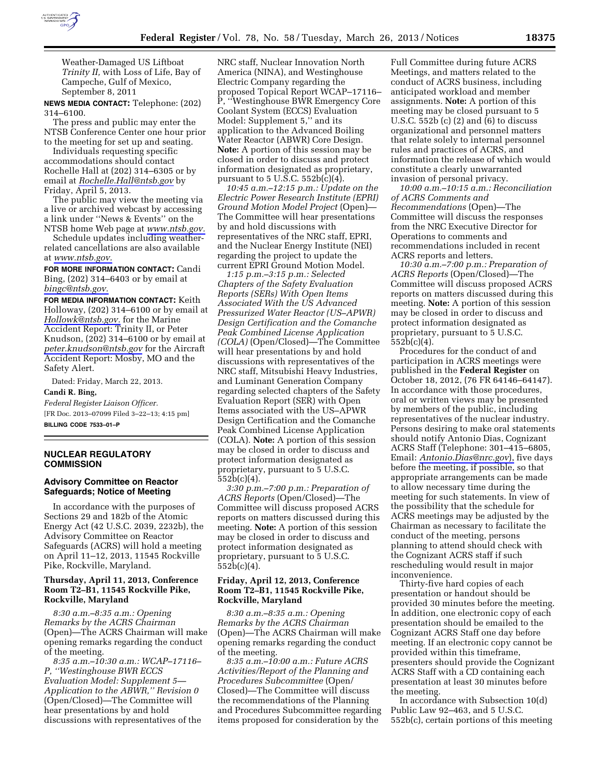

Weather-Damaged US Liftboat *Trinity II,* with Loss of Life, Bay of

Campeche, Gulf of Mexico, September 8, 2011 **NEWS MEDIA CONTACT:** Telephone: (202)

314–6100. The press and public may enter the NTSB Conference Center one hour prior to the meeting for set up and seating.

Individuals requesting specific accommodations should contact Rochelle Hall at (202) 314–6305 or by email at *[Rochelle.Hall@ntsb.gov](mailto:Rochelle.Hall@ntsb.gov)* by Friday, April 5, 2013.

The public may view the meeting via a live or archived webcast by accessing a link under ''News & Events'' on the NTSB home Web page at *[www.ntsb.gov.](http://www.ntsb.gov)* 

Schedule updates including weatherrelated cancellations are also available at *[www.ntsb.gov.](http://www.ntsb.gov)* 

**FOR MORE INFORMATION CONTACT:** Candi Bing, (202) 314–6403 or by email at *[bingc@ntsb.gov.](mailto:bingc@ntsb.gov)* 

**FOR MEDIA INFORMATION CONTACT:** Keith Holloway, (202) 314–6100 or by email at *[Hollowk@ntsb.gov.](mailto:Hollowk@ntsb.gov)* for the Marine Accident Report: Trinity II, or Peter Knudson, (202) 314–6100 or by email at *[peter.knudson@ntsb.gov](mailto:peter.knudson@ntsb.gov)* for the Aircraft Accident Report: Mosby, MO and the Safety Alert.

Dated: Friday, March 22, 2013. **Candi R. Bing,** 

*Federal Register Liaison Officer.*  [FR Doc. 2013–07099 Filed 3–22–13; 4:15 pm] **BILLING CODE 7533–01–P** 

# **NUCLEAR REGULATORY COMMISSION**

# **Advisory Committee on Reactor Safeguards; Notice of Meeting**

In accordance with the purposes of Sections 29 and 182b of the Atomic Energy Act (42 U.S.C. 2039, 2232b), the Advisory Committee on Reactor Safeguards (ACRS) will hold a meeting on April 11–12, 2013, 11545 Rockville Pike, Rockville, Maryland.

# **Thursday, April 11, 2013, Conference Room T2–B1, 11545 Rockville Pike, Rockville, Maryland**

*8:30 a.m.–8:35 a.m.: Opening Remarks by the ACRS Chairman*  (Open)—The ACRS Chairman will make opening remarks regarding the conduct of the meeting.

*8:35 a.m.–10:30 a.m.: WCAP–17116– P, ''Westinghouse BWR ECCS Evaluation Model: Supplement 5— Application to the ABWR,'' Revision 0*  (Open/Closed)—The Committee will hear presentations by and hold discussions with representatives of the

NRC staff, Nuclear Innovation North America (NINA), and Westinghouse Electric Company regarding the proposed Topical Report WCAP–17116– P, ''Westinghouse BWR Emergency Core Coolant System (ECCS) Evaluation Model: Supplement 5," and its application to the Advanced Boiling Water Reactor (ABWR) Core Design. **Note:** A portion of this session may be closed in order to discuss and protect information designated as proprietary, pursuant to  $5 \text{ U.S.C. } 552b(c)(4)$ .

*10:45 a.m.–12:15 p.m.: Update on the Electric Power Research Institute (EPRI) Ground Motion Model Project* (Open)— The Committee will hear presentations by and hold discussions with representatives of the NRC staff, EPRI, and the Nuclear Energy Institute (NEI) regarding the project to update the current EPRI Ground Motion Model.

*1:15 p.m.–3:15 p.m.: Selected Chapters of the Safety Evaluation Reports (SERs) With Open Items Associated With the US Advanced Pressurized Water Reactor (US–APWR) Design Certification and the Comanche Peak Combined License Application (COLA)* (Open/Closed)—The Committee will hear presentations by and hold discussions with representatives of the NRC staff, Mitsubishi Heavy Industries, and Luminant Generation Company regarding selected chapters of the Safety Evaluation Report (SER) with Open Items associated with the US–APWR Design Certification and the Comanche Peak Combined License Application (COLA). **Note:** A portion of this session may be closed in order to discuss and protect information designated as proprietary, pursuant to 5 U.S.C. 552b(c)(4).

*3:30 p.m.–7:00 p.m.: Preparation of ACRS Reports* (Open/Closed)—The Committee will discuss proposed ACRS reports on matters discussed during this meeting. **Note:** A portion of this session may be closed in order to discuss and protect information designated as proprietary, pursuant to 5 U.S.C. 552b(c)(4).

# **Friday, April 12, 2013, Conference Room T2–B1, 11545 Rockville Pike, Rockville, Maryland**

*8:30 a.m.–8:35 a.m.: Opening Remarks by the ACRS Chairman*  (Open)—The ACRS Chairman will make opening remarks regarding the conduct of the meeting.

*8:35 a.m.–10:00 a.m.: Future ACRS Activities/Report of the Planning and Procedures Subcommittee* (Open/ Closed)—The Committee will discuss the recommendations of the Planning and Procedures Subcommittee regarding items proposed for consideration by the

Full Committee during future ACRS Meetings, and matters related to the conduct of ACRS business, including anticipated workload and member assignments. **Note:** A portion of this meeting may be closed pursuant to 5 U.S.C. 552b (c) (2) and (6) to discuss organizational and personnel matters that relate solely to internal personnel rules and practices of ACRS, and information the release of which would constitute a clearly unwarranted invasion of personal privacy.

*10:00 a.m.–10:15 a.m.: Reconciliation of ACRS Comments and Recommendations* (Open)—The Committee will discuss the responses from the NRC Executive Director for Operations to comments and recommendations included in recent ACRS reports and letters.

*10:30 a.m.–7:00 p.m.: Preparation of ACRS Reports* (Open/Closed)—The Committee will discuss proposed ACRS reports on matters discussed during this meeting. **Note:** A portion of this session may be closed in order to discuss and protect information designated as proprietary, pursuant to 5 U.S.C.  $552b(c)(4)$ .

Procedures for the conduct of and participation in ACRS meetings were published in the **Federal Register** on October 18, 2012, (76 FR 64146–64147). In accordance with those procedures, oral or written views may be presented by members of the public, including representatives of the nuclear industry. Persons desiring to make oral statements should notify Antonio Dias, Cognizant ACRS Staff (Telephone: 301–415–6805, Email: *[Antonio.Dias@nrc.gov](mailto:Antonio.Dias@nrc.gov)*), five days before the meeting, if possible, so that appropriate arrangements can be made to allow necessary time during the meeting for such statements. In view of the possibility that the schedule for ACRS meetings may be adjusted by the Chairman as necessary to facilitate the conduct of the meeting, persons planning to attend should check with the Cognizant ACRS staff if such rescheduling would result in major inconvenience.

Thirty-five hard copies of each presentation or handout should be provided 30 minutes before the meeting. In addition, one electronic copy of each presentation should be emailed to the Cognizant ACRS Staff one day before meeting. If an electronic copy cannot be provided within this timeframe, presenters should provide the Cognizant ACRS Staff with a CD containing each presentation at least 30 minutes before the meeting.

In accordance with Subsection 10(d) Public Law 92–463, and 5 U.S.C. 552b(c), certain portions of this meeting